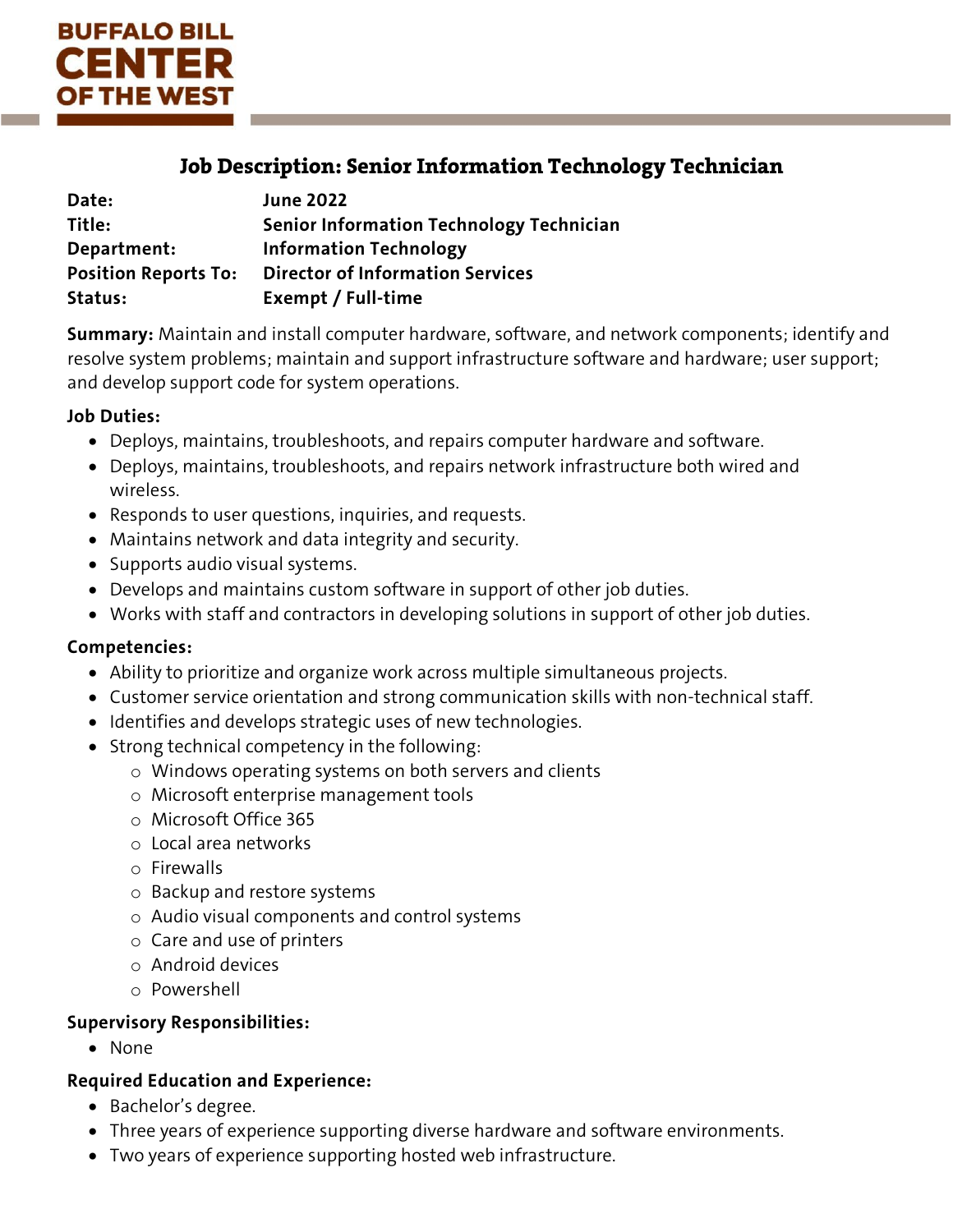

# Job Description: Senior Information Technology Technician

| Date:                       | <b>June 2022</b>                                |
|-----------------------------|-------------------------------------------------|
| Title:                      | <b>Senior Information Technology Technician</b> |
| Department:                 | <b>Information Technology</b>                   |
| <b>Position Reports To:</b> | <b>Director of Information Services</b>         |
| Status:                     | Exempt / Full-time                              |

**Summary:** Maintain and install computer hardware, software, and network components; identify and resolve system problems; maintain and support infrastructure software and hardware; user support; and develop support code for system operations.

### **Job Duties:**

- Deploys, maintains, troubleshoots, and repairs computer hardware and software.
- Deploys, maintains, troubleshoots, and repairs network infrastructure both wired and wireless.
- Responds to user questions, inquiries, and requests.
- Maintains network and data integrity and security.
- Supports audio visual systems.
- Develops and maintains custom software in support of other job duties.
- Works with staff and contractors in developing solutions in support of other job duties.

#### **Competencies:**

- Ability to prioritize and organize work across multiple simultaneous projects.
- Customer service orientation and strong communication skills with non-technical staff.
- Identifies and develops strategic uses of new technologies.
- Strong technical competency in the following:
	- o Windows operating systems on both servers and clients
	- o Microsoft enterprise management tools
	- o Microsoft Office 365
	- o Local area networks
	- o Firewalls
	- o Backup and restore systems
	- o Audio visual components and control systems
	- o Care and use of printers
	- o Android devices
	- o Powershell

#### **Supervisory Responsibilities:**

• None

#### **Required Education and Experience:**

- Bachelor's degree.
- Three years of experience supporting diverse hardware and software environments.
- Two years of experience supporting hosted web infrastructure.